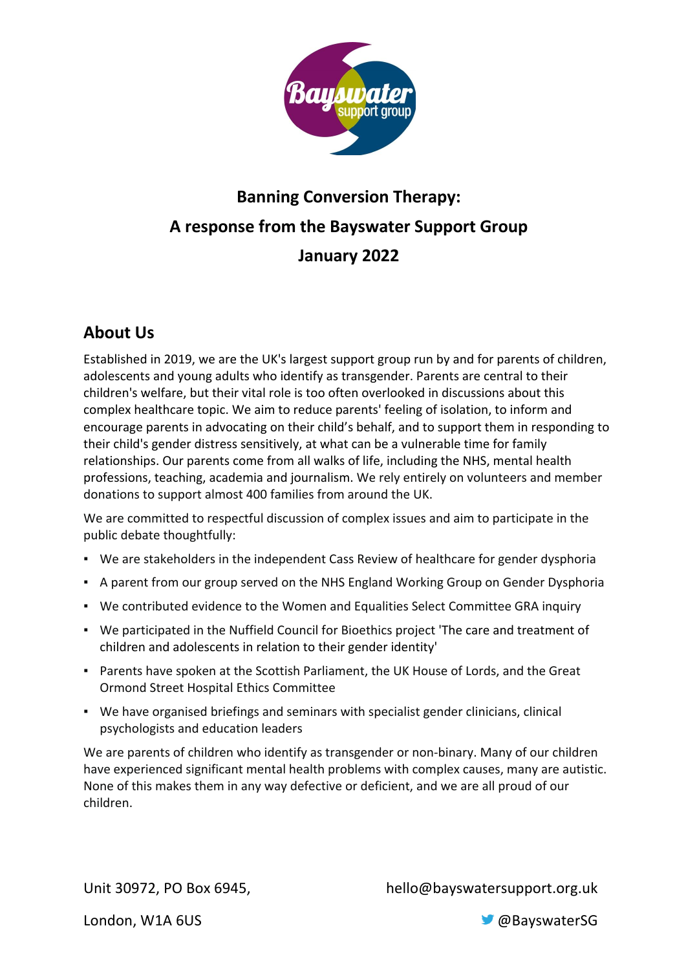

# **Banning Conversion Therapy: A response from the Bayswater Support Group January 2022**

## **About Us**

Established in 2019, we are the UK's largest support group run by and for parents of children, adolescents and young adults who identify as transgender. Parents are central to their children's welfare, but their vital role is too often overlooked in discussions about this complex healthcare topic. We aim to reduce parents' feeling of isolation, to inform and encourage parents in advocating on their child's behalf, and to support them in responding to their child's gender distress sensitively, at what can be a vulnerable time for family relationships. Our parents come from all walks of life, including the NHS, mental health professions, teaching, academia and journalism. We rely entirely on volunteers and member donations to support almost 400 families from around the UK.

We are committed to respectful discussion of complex issues and aim to participate in the public debate thoughtfully:

- We are stakeholders in the independent Cass Review of healthcare for gender dysphoria
- A parent from our group served on the NHS England Working Group on Gender Dysphoria
- We contributed evidence to the Women and Equalities Select Committee GRA inquiry
- We participated in the Nuffield Council for Bioethics project 'The care and treatment of children and adolescents in relation to their gender identity'
- Parents have spoken at the Scottish Parliament, the UK House of Lords, and the Great Ormond Street Hospital Ethics Committee
- We have organised briefings and seminars with specialist gender clinicians, clinical psychologists and education leaders

We are parents of children who identify as transgender or non-binary. Many of our children have experienced significant mental health problems with complex causes, many are autistic. None of this makes them in any way defective or deficient, and we are all proud of our children.

Unit 30972, PO Box 6945, hello@bayswatersupport.org.uk

London, W1A 6US **CONSULS CONSULS CONSULS CONSULS CONSULS CONSULS CONSULS CONSULS CONSULS CONSULS**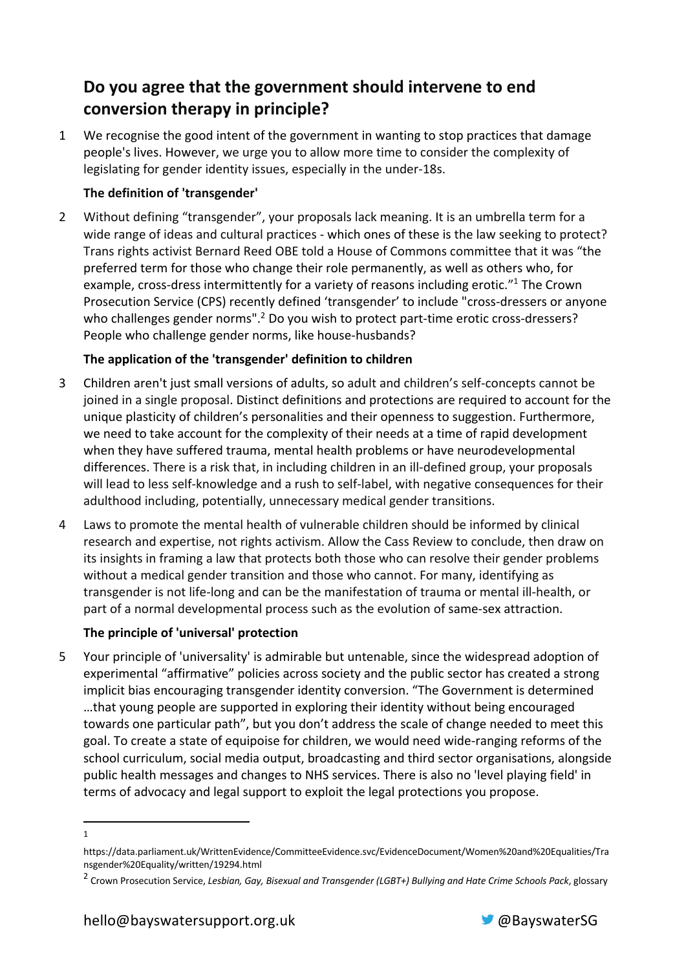### **Do you agree that the government should intervene to end conversion therapy in principle?**

1 We recognise the good intent of the government in wanting to stop practices that damage people's lives. However, we urge you to allow more time to consider the complexity of legislating for gender identity issues, especially in the under-18s.

### **The definition of 'transgender'**

2 Without defining "transgender", your proposals lack meaning. It is an umbrella term for a wide range of ideas and cultural practices - which ones of these is the law seeking to protect? Trans rights activist Bernard Reed OBE told a House of Commons committee that it was "the preferred term for those who change their role permanently, as well as others who, for example, cross-dress intermittently for a variety of reasons including erotic."<sup>1</sup> The Crown Prosecution Service (CPS) recently defined 'transgender' to include "cross-dressers or anyone who challenges gender norms".<sup>2</sup> Do you wish to protect part-time erotic cross-dressers? People who challenge gender norms, like house-husbands?

#### **The application of the 'transgender' definition to children**

- 3 Children aren't just small versions of adults, so adult and children's self-concepts cannot be joined in a single proposal. Distinct definitions and protections are required to account for the unique plasticity of children's personalities and their openness to suggestion. Furthermore, we need to take account for the complexity of their needs at a time of rapid development when they have suffered trauma, mental health problems or have neurodevelopmental differences. There is a risk that, in including children in an ill-defined group, your proposals will lead to less self-knowledge and a rush to self-label, with negative consequences for their adulthood including, potentially, unnecessary medical gender transitions.
- 4 Laws to promote the mental health of vulnerable children should be informed by clinical research and expertise, not rights activism. Allow the Cass Review to conclude, then draw on its insights in framing a law that protects both those who can resolve their gender problems without a medical gender transition and those who cannot. For many, identifying as transgender is not life-long and can be the manifestation of trauma or mental ill-health, or part of a normal developmental process such as the evolution of same-sex attraction.

### **The principle of 'universal' protection**

5 Your principle of 'universality' is admirable but untenable, since the widespread adoption of experimental "affirmative" policies across society and the public sector has created a strong implicit bias encouraging transgender identity conversion. "The Government is determined …that young people are supported in exploring their identity without being encouraged towards one particular path", but you don't address the scale of change needed to meet this goal. To create a state of equipoise for children, we would need wide-ranging reforms of the school curriculum, social media output, broadcasting and third sector organisations, alongside public health messages and changes to NHS services. There is also no 'level playing field' in terms of advocacy and legal support to exploit the legal protections you propose.



<sup>1</sup>

https://data.parliament.uk/WrittenEvidence/CommitteeEvidence.svc/EvidenceDocument/Women%20and%20Equalities/Tra nsgender%20Equality/written/19294.html

<sup>2</sup> Crown Prosecution Service, *Lesbian, Gay, Bisexual and Transgender (LGBT+) Bullying and Hate Crime Schools Pack*, glossary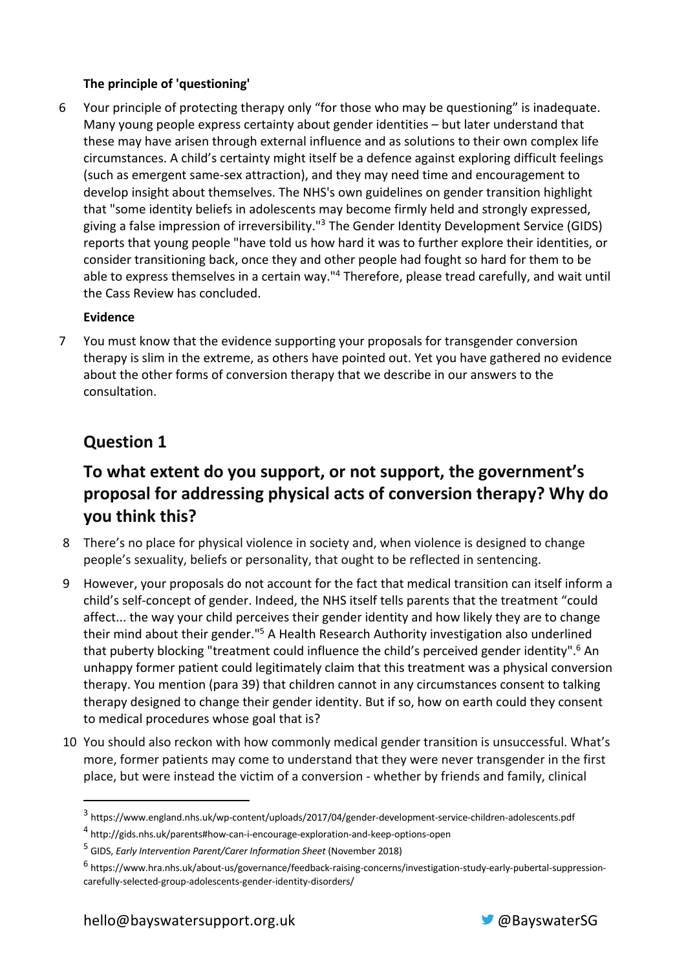#### **The principle of 'questioning'**

6 Your principle of protecting therapy only "for those who may be questioning" is inadequate. Many young people express certainty about gender identities – but later understand that these may have arisen through external influence and as solutions to their own complex life circumstances. A child's certainty might itself be a defence against exploring difficult feelings (such as emergent same-sex attraction), and they may need time and encouragement to develop insight about themselves. The NHS's own guidelines on gender transition highlight that "some identity beliefs in adolescents may become firmly held and strongly expressed, giving a false impression of irreversibility."<sup>3</sup> The Gender Identity Development Service (GIDS) reports that young people "have told us how hard it was to further explore their identities, or consider transitioning back, once they and other people had fought so hard for them to be able to express themselves in a certain way."<sup>4</sup> Therefore, please tread carefully, and wait until the Cass Review has concluded.

#### **Evidence**

7 You must know that the evidence supporting your proposals for transgender conversion therapy is slim in the extreme, as others have pointed out. Yet you have gathered no evidence about the other forms of conversion therapy that we describe in our answers to the consultation.

### **Question 1**

### **To what extent do you support, or not support, the government's proposal for addressing physical acts of conversion therapy? Why do you think this?**

- 8 There's no place for physical violence in society and, when violence is designed to change people's sexuality, beliefs or personality, that ought to be reflected in sentencing.
- 9 However, your proposals do not account for the fact that medical transition can itself inform a child's self-concept of gender. Indeed, the NHS itself tells parents that the treatment "could affect... the way your child perceives their gender identity and how likely they are to change their mind about their gender."5 A Health Research Authority investigation also underlined that puberty blocking "treatment could influence the child's perceived gender identity".<sup>6</sup> An unhappy former patient could legitimately claim that this treatment was a physical conversion therapy. You mention (para 39) that children cannot in any circumstances consent to talking therapy designed to change their gender identity. But if so, how on earth could they consent to medical procedures whose goal that is?
- 10 You should also reckon with how commonly medical gender transition is unsuccessful. What's more, former patients may come to understand that they were never transgender in the first place, but were instead the victim of a conversion - whether by friends and family, clinical



<sup>3</sup> https://www.england.nhs.uk/wp-content/uploads/2017/04/gender-development-service-children-adolescents.pdf

<sup>4</sup> http://gids.nhs.uk/parents#how-can-i-encourage-exploration-and-keep-options-open

<sup>5</sup> GIDS, *Early Intervention Parent/Carer Information Sheet* (November 2018)

<sup>6</sup> https://www.hra.nhs.uk/about-us/governance/feedback-raising-concerns/investigation-study-early-pubertal-suppressioncarefully-selected-group-adolescents-gender-identity-disorders/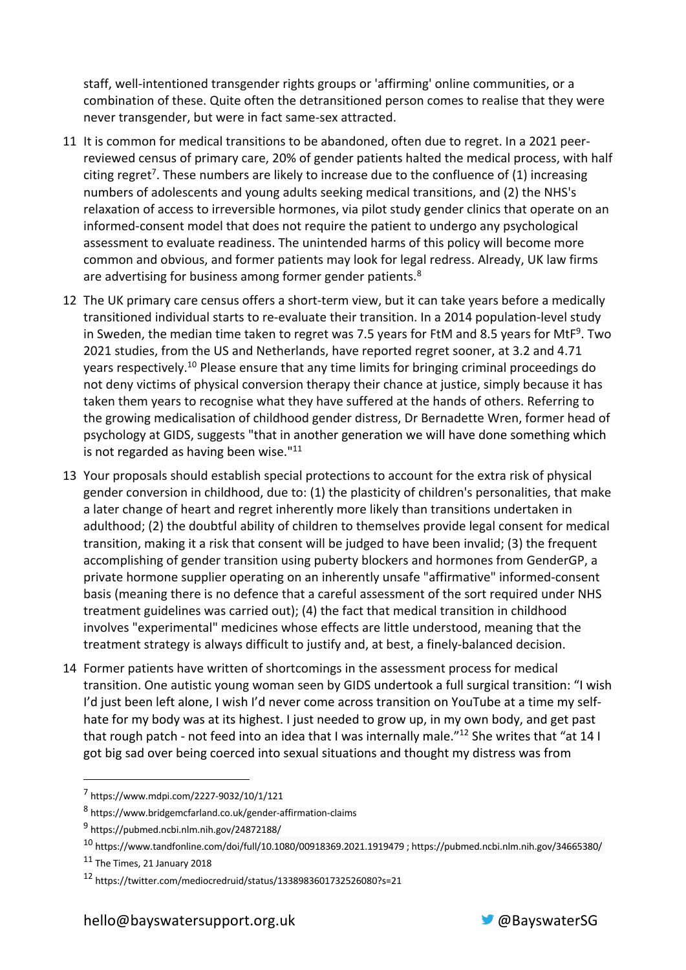staff, well-intentioned transgender rights groups or 'affirming' online communities, or a combination of these. Quite often the detransitioned person comes to realise that they were never transgender, but were in fact same-sex attracted.

- 11 It is common for medical transitions to be abandoned, often due to regret. In a 2021 peerreviewed census of primary care, 20% of gender patients halted the medical process, with half citing regret<sup>7</sup>. These numbers are likely to increase due to the confluence of (1) increasing numbers of adolescents and young adults seeking medical transitions, and (2) the NHS's relaxation of access to irreversible hormones, via pilot study gender clinics that operate on an informed-consent model that does not require the patient to undergo any psychological assessment to evaluate readiness. The unintended harms of this policy will become more common and obvious, and former patients may look for legal redress. Already, UK law firms are advertising for business among former gender patients.<sup>8</sup>
- 12 The UK primary care census offers a short-term view, but it can take years before a medically transitioned individual starts to re-evaluate their transition. In a 2014 population-level study in Sweden, the median time taken to regret was 7.5 years for FtM and 8.5 years for MtF<sup>9</sup>. Two 2021 studies, from the US and Netherlands, have reported regret sooner, at 3.2 and 4.71 years respectively.10 Please ensure that any time limits for bringing criminal proceedings do not deny victims of physical conversion therapy their chance at justice, simply because it has taken them years to recognise what they have suffered at the hands of others. Referring to the growing medicalisation of childhood gender distress, Dr Bernadette Wren, former head of psychology at GIDS, suggests "that in another generation we will have done something which is not regarded as having been wise."<sup>11</sup>
- 13 Your proposals should establish special protections to account for the extra risk of physical gender conversion in childhood, due to: (1) the plasticity of children's personalities, that make a later change of heart and regret inherently more likely than transitions undertaken in adulthood; (2) the doubtful ability of children to themselves provide legal consent for medical transition, making it a risk that consent will be judged to have been invalid; (3) the frequent accomplishing of gender transition using puberty blockers and hormones from GenderGP, a private hormone supplier operating on an inherently unsafe "affirmative" informed-consent basis (meaning there is no defence that a careful assessment of the sort required under NHS treatment guidelines was carried out); (4) the fact that medical transition in childhood involves "experimental" medicines whose effects are little understood, meaning that the treatment strategy is always difficult to justify and, at best, a finely-balanced decision.
- 14 Former patients have written of shortcomings in the assessment process for medical transition. One autistic young woman seen by GIDS undertook a full surgical transition: "I wish I'd just been left alone, I wish I'd never come across transition on YouTube at a time my selfhate for my body was at its highest. I just needed to grow up, in my own body, and get past that rough patch - not feed into an idea that I was internally male."12 She writes that "at 14 I got big sad over being coerced into sexual situations and thought my distress was from



<sup>7</sup> https://www.mdpi.com/2227-9032/10/1/121

<sup>8</sup> https://www.bridgemcfarland.co.uk/gender-affirmation-claims

<sup>9</sup> https://pubmed.ncbi.nlm.nih.gov/24872188/

<sup>10</sup> https://www.tandfonline.com/doi/full/10.1080/00918369.2021.1919479 ; https://pubmed.ncbi.nlm.nih.gov/34665380/

<sup>11</sup> The Times, 21 January 2018

<sup>12</sup> https://twitter.com/mediocredruid/status/1338983601732526080?s=21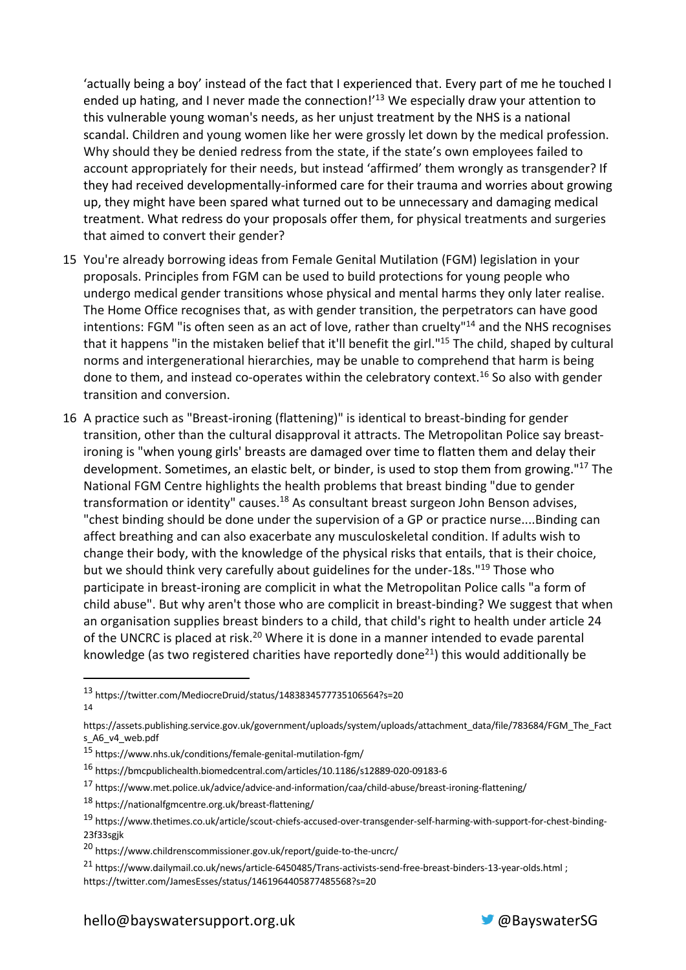'actually being a boy' instead of the fact that I experienced that. Every part of me he touched I ended up hating, and I never made the connection!<sup>'13</sup> We especially draw your attention to this vulnerable young woman's needs, as her unjust treatment by the NHS is a national scandal. Children and young women like her were grossly let down by the medical profession. Why should they be denied redress from the state, if the state's own employees failed to account appropriately for their needs, but instead 'affirmed' them wrongly as transgender? If they had received developmentally-informed care for their trauma and worries about growing up, they might have been spared what turned out to be unnecessary and damaging medical treatment. What redress do your proposals offer them, for physical treatments and surgeries that aimed to convert their gender?

- 15 You're already borrowing ideas from Female Genital Mutilation (FGM) legislation in your proposals. Principles from FGM can be used to build protections for young people who undergo medical gender transitions whose physical and mental harms they only later realise. The Home Office recognises that, as with gender transition, the perpetrators can have good intentions: FGM "is often seen as an act of love, rather than cruelty"<sup>14</sup> and the NHS recognises that it happens "in the mistaken belief that it'll benefit the girl."15 The child, shaped by cultural norms and intergenerational hierarchies, may be unable to comprehend that harm is being done to them, and instead co-operates within the celebratory context.<sup>16</sup> So also with gender transition and conversion.
- 16 A practice such as "Breast-ironing (flattening)" is identical to breast-binding for gender transition, other than the cultural disapproval it attracts. The Metropolitan Police say breastironing is "when young girls' breasts are damaged over time to flatten them and delay their development. Sometimes, an elastic belt, or binder, is used to stop them from growing."<sup>17</sup> The National FGM Centre highlights the health problems that breast binding "due to gender transformation or identity" causes.<sup>18</sup> As consultant breast surgeon John Benson advises, "chest binding should be done under the supervision of a GP or practice nurse....Binding can affect breathing and can also exacerbate any musculoskeletal condition. If adults wish to change their body, with the knowledge of the physical risks that entails, that is their choice, but we should think very carefully about guidelines for the under-18s."<sup>19</sup> Those who participate in breast-ironing are complicit in what the Metropolitan Police calls "a form of child abuse". But why aren't those who are complicit in breast-binding? We suggest that when an organisation supplies breast binders to a child, that child's right to health under article 24 of the UNCRC is placed at risk.<sup>20</sup> Where it is done in a manner intended to evade parental knowledge (as two registered charities have reportedly done<sup>21</sup>) this would additionally be

- <sup>17</sup> https://www.met.police.uk/advice/advice-and-information/caa/child-abuse/breast-ironing-flattening/
- <sup>18</sup> https://nationalfgmcentre.org.uk/breast-flattening/



<sup>13</sup> https://twitter.com/MediocreDruid/status/1483834577735106564?s=20 14

https://assets.publishing.service.gov.uk/government/uploads/system/uploads/attachment\_data/file/783684/FGM\_The\_Fact s\_A6\_v4\_web.pdf

<sup>15</sup> https://www.nhs.uk/conditions/female-genital-mutilation-fgm/

<sup>16</sup> https://bmcpublichealth.biomedcentral.com/articles/10.1186/s12889-020-09183-6

<sup>19</sup> https://www.thetimes.co.uk/article/scout-chiefs-accused-over-transgender-self-harming-with-support-for-chest-binding-23f33sgjk

<sup>20</sup> https://www.childrenscommissioner.gov.uk/report/guide-to-the-uncrc/

<sup>21</sup> https://www.dailymail.co.uk/news/article-6450485/Trans-activists-send-free-breast-binders-13-year-olds.html ; https://twitter.com/JamesEsses/status/1461964405877485568?s=20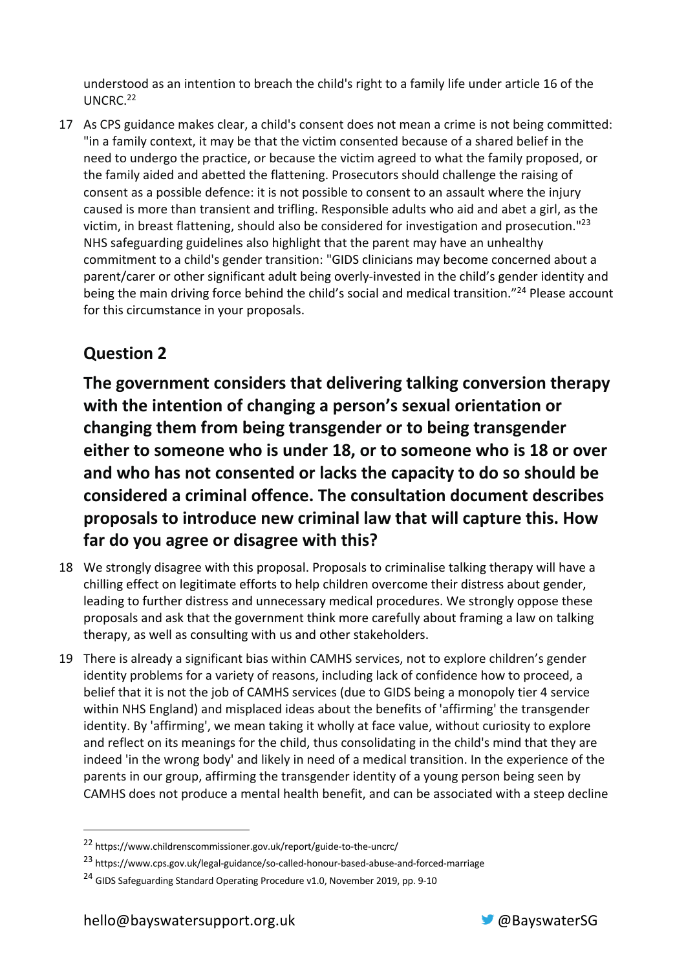understood as an intention to breach the child's right to a family life under article 16 of the UNCRC.22

17 As CPS guidance makes clear, a child's consent does not mean a crime is not being committed: "in a family context, it may be that the victim consented because of a shared belief in the need to undergo the practice, or because the victim agreed to what the family proposed, or the family aided and abetted the flattening. Prosecutors should challenge the raising of consent as a possible defence: it is not possible to consent to an assault where the injury caused is more than transient and trifling. Responsible adults who aid and abet a girl, as the victim, in breast flattening, should also be considered for investigation and prosecution."<sup>23</sup> NHS safeguarding guidelines also highlight that the parent may have an unhealthy commitment to a child's gender transition: "GIDS clinicians may become concerned about a parent/carer or other significant adult being overly-invested in the child's gender identity and being the main driving force behind the child's social and medical transition."<sup>24</sup> Please account for this circumstance in your proposals.

### **Question 2**

**The government considers that delivering talking conversion therapy with the intention of changing a person's sexual orientation or changing them from being transgender or to being transgender either to someone who is under 18, or to someone who is 18 or over and who has not consented or lacks the capacity to do so should be considered a criminal offence. The consultation document describes proposals to introduce new criminal law that will capture this. How far do you agree or disagree with this?**

- 18 We strongly disagree with this proposal. Proposals to criminalise talking therapy will have a chilling effect on legitimate efforts to help children overcome their distress about gender, leading to further distress and unnecessary medical procedures. We strongly oppose these proposals and ask that the government think more carefully about framing a law on talking therapy, as well as consulting with us and other stakeholders.
- 19 There is already a significant bias within CAMHS services, not to explore children's gender identity problems for a variety of reasons, including lack of confidence how to proceed, a belief that it is not the job of CAMHS services (due to GIDS being a monopoly tier 4 service within NHS England) and misplaced ideas about the benefits of 'affirming' the transgender identity. By 'affirming', we mean taking it wholly at face value, without curiosity to explore and reflect on its meanings for the child, thus consolidating in the child's mind that they are indeed 'in the wrong body' and likely in need of a medical transition. In the experience of the parents in our group, affirming the transgender identity of a young person being seen by CAMHS does not produce a mental health benefit, and can be associated with a steep decline



<sup>22</sup> https://www.childrenscommissioner.gov.uk/report/guide-to-the-uncrc/

<sup>23</sup> https://www.cps.gov.uk/legal-guidance/so-called-honour-based-abuse-and-forced-marriage

<sup>&</sup>lt;sup>24</sup> GIDS Safeguarding Standard Operating Procedure v1.0, November 2019, pp. 9-10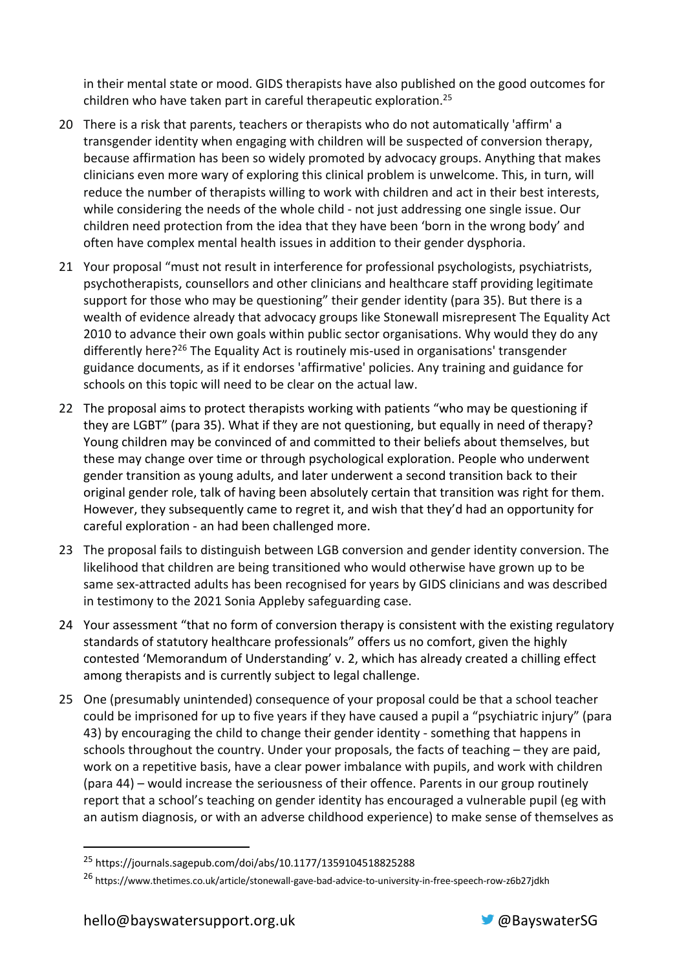in their mental state or mood. GIDS therapists have also published on the good outcomes for children who have taken part in careful therapeutic exploration.25

- 20 There is a risk that parents, teachers or therapists who do not automatically 'affirm' a transgender identity when engaging with children will be suspected of conversion therapy, because affirmation has been so widely promoted by advocacy groups. Anything that makes clinicians even more wary of exploring this clinical problem is unwelcome. This, in turn, will reduce the number of therapists willing to work with children and act in their best interests, while considering the needs of the whole child - not just addressing one single issue. Our children need protection from the idea that they have been 'born in the wrong body' and often have complex mental health issues in addition to their gender dysphoria.
- 21 Your proposal "must not result in interference for professional psychologists, psychiatrists, psychotherapists, counsellors and other clinicians and healthcare staff providing legitimate support for those who may be questioning" their gender identity (para 35). But there is a wealth of evidence already that advocacy groups like Stonewall misrepresent The Equality Act 2010 to advance their own goals within public sector organisations. Why would they do any differently here?<sup>26</sup> The Equality Act is routinely mis-used in organisations' transgender guidance documents, as if it endorses 'affirmative' policies. Any training and guidance for schools on this topic will need to be clear on the actual law.
- 22 The proposal aims to protect therapists working with patients "who may be questioning if they are LGBT" (para 35). What if they are not questioning, but equally in need of therapy? Young children may be convinced of and committed to their beliefs about themselves, but these may change over time or through psychological exploration. People who underwent gender transition as young adults, and later underwent a second transition back to their original gender role, talk of having been absolutely certain that transition was right for them. However, they subsequently came to regret it, and wish that they'd had an opportunity for careful exploration - an had been challenged more.
- 23 The proposal fails to distinguish between LGB conversion and gender identity conversion. The likelihood that children are being transitioned who would otherwise have grown up to be same sex-attracted adults has been recognised for years by GIDS clinicians and was described in testimony to the 2021 Sonia Appleby safeguarding case.
- 24 Your assessment "that no form of conversion therapy is consistent with the existing regulatory standards of statutory healthcare professionals" offers us no comfort, given the highly contested 'Memorandum of Understanding' v. 2, which has already created a chilling effect among therapists and is currently subject to legal challenge.
- 25 One (presumably unintended) consequence of your proposal could be that a school teacher could be imprisoned for up to five years if they have caused a pupil a "psychiatric injury" (para 43) by encouraging the child to change their gender identity - something that happens in schools throughout the country. Under your proposals, the facts of teaching – they are paid, work on a repetitive basis, have a clear power imbalance with pupils, and work with children (para 44) – would increase the seriousness of their offence. Parents in our group routinely report that a school's teaching on gender identity has encouraged a vulnerable pupil (eg with an autism diagnosis, or with an adverse childhood experience) to make sense of themselves as



<sup>25</sup> https://journals.sagepub.com/doi/abs/10.1177/1359104518825288

<sup>&</sup>lt;sup>26</sup> https://www.thetimes.co.uk/article/stonewall-gave-bad-advice-to-university-in-free-speech-row-z6b27idkh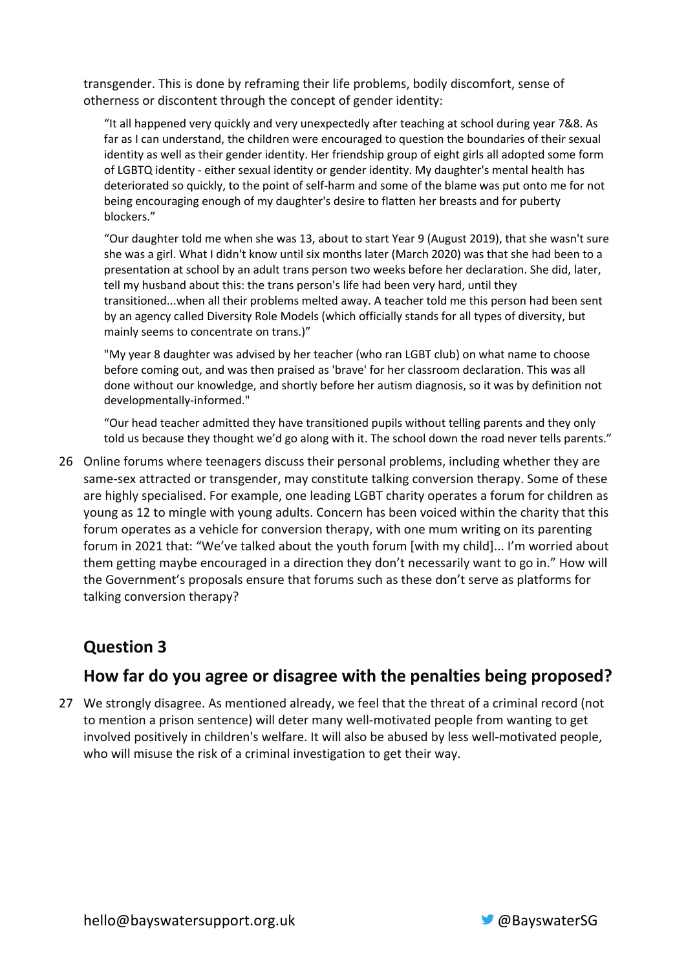transgender. This is done by reframing their life problems, bodily discomfort, sense of otherness or discontent through the concept of gender identity:

"It all happened very quickly and very unexpectedly after teaching at school during year 7&8. As far as I can understand, the children were encouraged to question the boundaries of their sexual identity as well as their gender identity. Her friendship group of eight girls all adopted some form of LGBTQ identity - either sexual identity or gender identity. My daughter's mental health has deteriorated so quickly, to the point of self-harm and some of the blame was put onto me for not being encouraging enough of my daughter's desire to flatten her breasts and for puberty blockers."

"Our daughter told me when she was 13, about to start Year 9 (August 2019), that she wasn't sure she was a girl. What I didn't know until six months later (March 2020) was that she had been to a presentation at school by an adult trans person two weeks before her declaration. She did, later, tell my husband about this: the trans person's life had been very hard, until they transitioned...when all their problems melted away. A teacher told me this person had been sent by an agency called Diversity Role Models (which officially stands for all types of diversity, but mainly seems to concentrate on trans.)"

"My year 8 daughter was advised by her teacher (who ran LGBT club) on what name to choose before coming out, and was then praised as 'brave' for her classroom declaration. This was all done without our knowledge, and shortly before her autism diagnosis, so it was by definition not developmentally-informed."

"Our head teacher admitted they have transitioned pupils without telling parents and they only told us because they thought we'd go along with it. The school down the road never tells parents."

26 Online forums where teenagers discuss their personal problems, including whether they are same-sex attracted or transgender, may constitute talking conversion therapy. Some of these are highly specialised. For example, one leading LGBT charity operates a forum for children as young as 12 to mingle with young adults. Concern has been voiced within the charity that this forum operates as a vehicle for conversion therapy, with one mum writing on its parenting forum in 2021 that: "We've talked about the youth forum [with my child]... I'm worried about them getting maybe encouraged in a direction they don't necessarily want to go in." How will the Government's proposals ensure that forums such as these don't serve as platforms for talking conversion therapy?

### **Question 3**

### **How far do you agree or disagree with the penalties being proposed?**

27 We strongly disagree. As mentioned already, we feel that the threat of a criminal record (not to mention a prison sentence) will deter many well-motivated people from wanting to get involved positively in children's welfare. It will also be abused by less well-motivated people, who will misuse the risk of a criminal investigation to get their way.

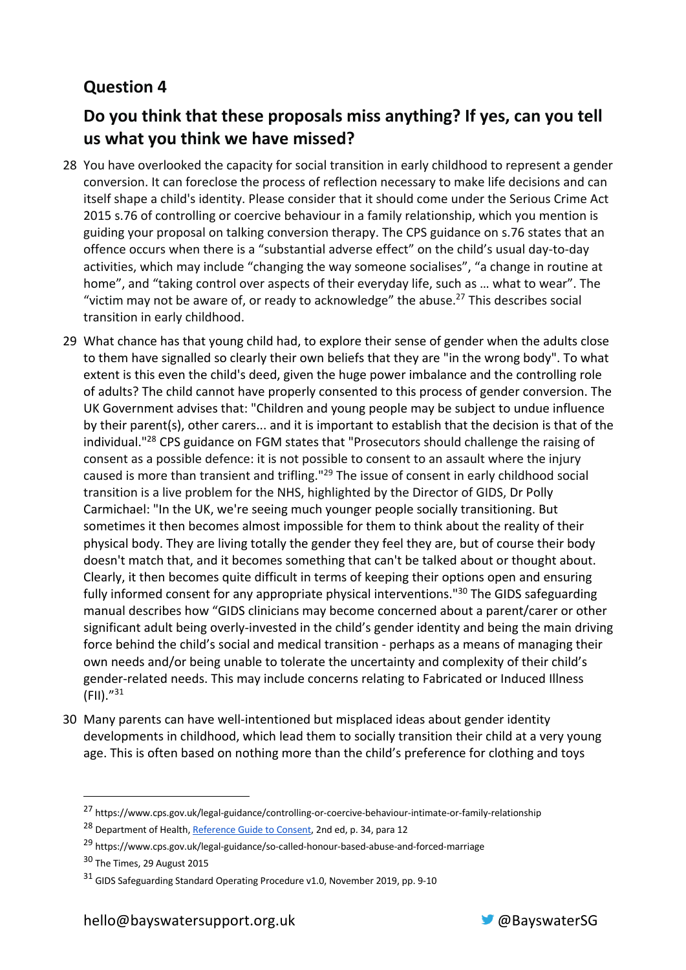## **Question 4**

## **Do you think that these proposals miss anything? If yes, can you tell us what you think we have missed?**

- 28 You have overlooked the capacity for social transition in early childhood to represent a gender conversion. It can foreclose the process of reflection necessary to make life decisions and can itself shape a child's identity. Please consider that it should come under the Serious Crime Act 2015 s.76 of controlling or coercive behaviour in a family relationship, which you mention is guiding your proposal on talking conversion therapy. The CPS guidance on s.76 states that an offence occurs when there is a "substantial adverse effect" on the child's usual day-to-day activities, which may include "changing the way someone socialises", "a change in routine at home", and "taking control over aspects of their everyday life, such as … what to wear". The "victim may not be aware of, or ready to acknowledge" the abuse. $^{27}$  This describes social transition in early childhood.
- 29 What chance has that young child had, to explore their sense of gender when the adults close to them have signalled so clearly their own beliefs that they are "in the wrong body". To what extent is this even the child's deed, given the huge power imbalance and the controlling role of adults? The child cannot have properly consented to this process of gender conversion. The UK Government advises that: "Children and young people may be subject to undue influence by their parent(s), other carers... and it is important to establish that the decision is that of the individual."28 CPS guidance on FGM states that "Prosecutors should challenge the raising of consent as a possible defence: it is not possible to consent to an assault where the injury caused is more than transient and trifling."<sup>29</sup> The issue of consent in early childhood social transition is a live problem for the NHS, highlighted by the Director of GIDS, Dr Polly Carmichael: "In the UK, we're seeing much younger people socially transitioning. But sometimes it then becomes almost impossible for them to think about the reality of their physical body. They are living totally the gender they feel they are, but of course their body doesn't match that, and it becomes something that can't be talked about or thought about. Clearly, it then becomes quite difficult in terms of keeping their options open and ensuring fully informed consent for any appropriate physical interventions."<sup>30</sup> The GIDS safeguarding manual describes how "GIDS clinicians may become concerned about a parent/carer or other significant adult being overly-invested in the child's gender identity and being the main driving force behind the child's social and medical transition - perhaps as a means of managing their own needs and/or being unable to tolerate the uncertainty and complexity of their child's gender-related needs. This may include concerns relating to Fabricated or Induced Illness (FII)."31
- 30 Many parents can have well-intentioned but misplaced ideas about gender identity developments in childhood, which lead them to socially transition their child at a very young age. This is often based on nothing more than the child's preference for clothing and toys



<sup>27</sup> https://www.cps.gov.uk/legal-guidance/controlling-or-coercive-behaviour-intimate-or-family-relationship

<sup>&</sup>lt;sup>28</sup> Department of Health, Reference Guide to Consent, 2nd ed, p. 34, para 12

<sup>29</sup> https://www.cps.gov.uk/legal-guidance/so-called-honour-based-abuse-and-forced-marriage

<sup>30</sup> The Times, 29 August 2015

<sup>31</sup> GIDS Safeguarding Standard Operating Procedure v1.0, November 2019, pp. 9-10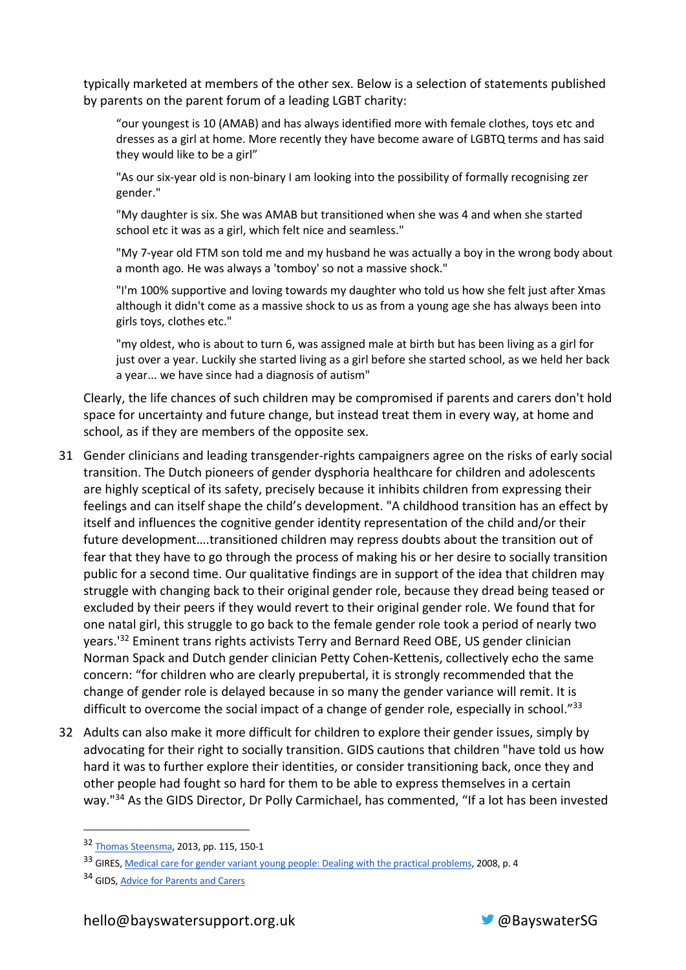typically marketed at members of the other sex. Below is a selection of statements published by parents on the parent forum of a leading LGBT charity:

"our youngest is 10 (AMAB) and has always identified more with female clothes, toys etc and dresses as a girl at home. More recently they have become aware of LGBTQ terms and has said they would like to be a girl"

"As our six-year old is non-binary I am looking into the possibility of formally recognising zer gender."

"My daughter is six. She was AMAB but transitioned when she was 4 and when she started school etc it was as a girl, which felt nice and seamless."

"My 7-year old FTM son told me and my husband he was actually a boy in the wrong body about a month ago. He was always a 'tomboy' so not a massive shock."

"I'm 100% supportive and loving towards my daughter who told us how she felt just after Xmas although it didn't come as a massive shock to us as from a young age she has always been into girls toys, clothes etc."

"my oldest, who is about to turn 6, was assigned male at birth but has been living as a girl for just over a year. Luckily she started living as a girl before she started school, as we held her back a year... we have since had a diagnosis of autism"

Clearly, the life chances of such children may be compromised if parents and carers don't hold space for uncertainty and future change, but instead treat them in every way, at home and school, as if they are members of the opposite sex.

- 31 Gender clinicians and leading transgender-rights campaigners agree on the risks of early social transition. The Dutch pioneers of gender dysphoria healthcare for children and adolescents are highly sceptical of its safety, precisely because it inhibits children from expressing their feelings and can itself shape the child's development. "A childhood transition has an effect by itself and influences the cognitive gender identity representation of the child and/or their future development….transitioned children may repress doubts about the transition out of fear that they have to go through the process of making his or her desire to socially transition public for a second time. Our qualitative findings are in support of the idea that children may struggle with changing back to their original gender role, because they dread being teased or excluded by their peers if they would revert to their original gender role. We found that for one natal girl, this struggle to go back to the female gender role took a period of nearly two years.'32 Eminent trans rights activists Terry and Bernard Reed OBE, US gender clinician Norman Spack and Dutch gender clinician Petty Cohen-Kettenis, collectively echo the same concern: "for children who are clearly prepubertal, it is strongly recommended that the change of gender role is delayed because in so many the gender variance will remit. It is difficult to overcome the social impact of a change of gender role, especially in school."<sup>33</sup>
- 32 Adults can also make it more difficult for children to explore their gender issues, simply by advocating for their right to socially transition. GIDS cautions that children "have told us how hard it was to further explore their identities, or consider transitioning back, once they and other people had fought so hard for them to be able to express themselves in a certain way."<sup>34</sup> As the GIDS Director, Dr Polly Carmichael, has commented, "If a lot has been invested



<sup>32</sup> Thomas Steensma, 2013, pp. 115, 150-1

<sup>33</sup> GIRES, Medical care for gender variant young people: Dealing with the practical problems, 2008, p. 4

<sup>&</sup>lt;sup>34</sup> GIDS, Advice for Parents and Carers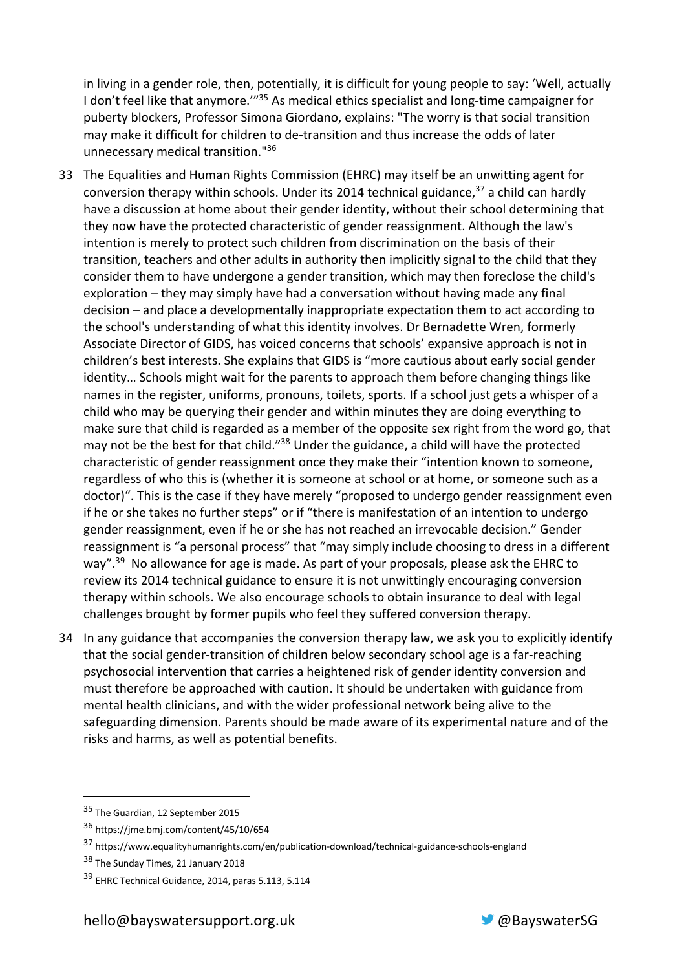in living in a gender role, then, potentially, it is difficult for young people to say: 'Well, actually I don't feel like that anymore."<sup>35</sup> As medical ethics specialist and long-time campaigner for puberty blockers, Professor Simona Giordano, explains: "The worry is that social transition may make it difficult for children to de-transition and thus increase the odds of later unnecessary medical transition."36

- 33 The Equalities and Human Rights Commission (EHRC) may itself be an unwitting agent for conversion therapy within schools. Under its 2014 technical guidance, $37$  a child can hardly have a discussion at home about their gender identity, without their school determining that they now have the protected characteristic of gender reassignment. Although the law's intention is merely to protect such children from discrimination on the basis of their transition, teachers and other adults in authority then implicitly signal to the child that they consider them to have undergone a gender transition, which may then foreclose the child's exploration – they may simply have had a conversation without having made any final decision – and place a developmentally inappropriate expectation them to act according to the school's understanding of what this identity involves. Dr Bernadette Wren, formerly Associate Director of GIDS, has voiced concerns that schools' expansive approach is not in children's best interests. She explains that GIDS is "more cautious about early social gender identity… Schools might wait for the parents to approach them before changing things like names in the register, uniforms, pronouns, toilets, sports. If a school just gets a whisper of a child who may be querying their gender and within minutes they are doing everything to make sure that child is regarded as a member of the opposite sex right from the word go, that may not be the best for that child."38 Under the guidance, a child will have the protected characteristic of gender reassignment once they make their "intention known to someone, regardless of who this is (whether it is someone at school or at home, or someone such as a doctor)". This is the case if they have merely "proposed to undergo gender reassignment even if he or she takes no further steps" or if "there is manifestation of an intention to undergo gender reassignment, even if he or she has not reached an irrevocable decision." Gender reassignment is "a personal process" that "may simply include choosing to dress in a different way".<sup>39</sup> No allowance for age is made. As part of your proposals, please ask the EHRC to review its 2014 technical guidance to ensure it is not unwittingly encouraging conversion therapy within schools. We also encourage schools to obtain insurance to deal with legal challenges brought by former pupils who feel they suffered conversion therapy.
- 34 In any guidance that accompanies the conversion therapy law, we ask you to explicitly identify that the social gender-transition of children below secondary school age is a far-reaching psychosocial intervention that carries a heightened risk of gender identity conversion and must therefore be approached with caution. It should be undertaken with guidance from mental health clinicians, and with the wider professional network being alive to the safeguarding dimension. Parents should be made aware of its experimental nature and of the risks and harms, as well as potential benefits.



<sup>&</sup>lt;sup>35</sup> The Guardian, 12 September 2015

<sup>36</sup> https://jme.bmj.com/content/45/10/654

<sup>37</sup> https://www.equalityhumanrights.com/en/publication-download/technical-guidance-schools-england

<sup>38</sup> The Sunday Times, 21 January 2018

<sup>&</sup>lt;sup>39</sup> EHRC Technical Guidance, 2014, paras 5.113, 5.114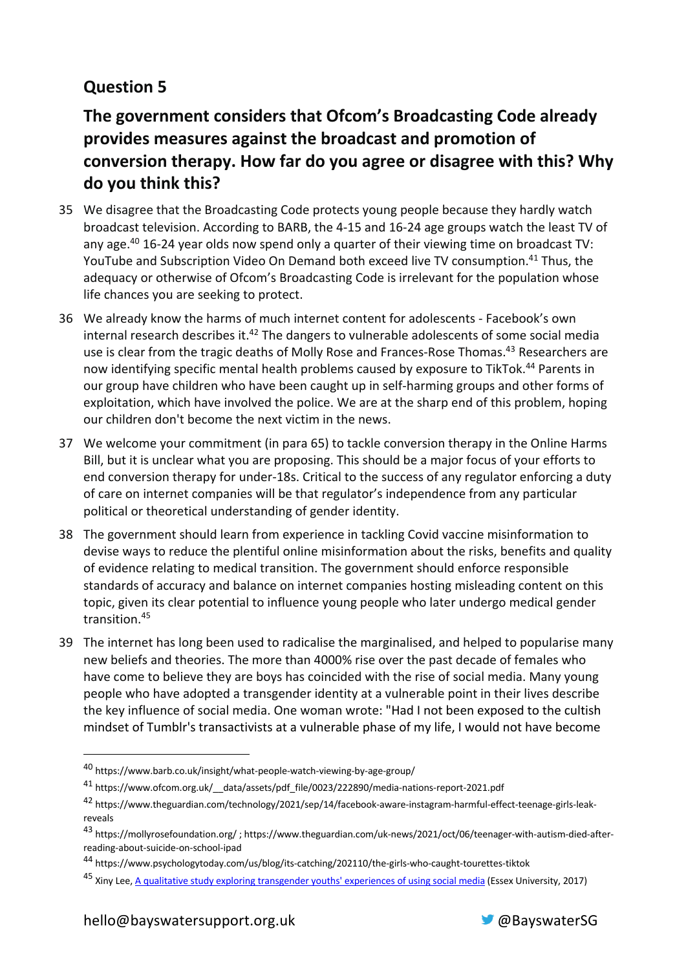## **Question 5**

## **The government considers that Ofcom's Broadcasting Code already provides measures against the broadcast and promotion of conversion therapy. How far do you agree or disagree with this? Why do you think this?**

- 35 We disagree that the Broadcasting Code protects young people because they hardly watch broadcast television. According to BARB, the 4-15 and 16-24 age groups watch the least TV of any age.<sup>40</sup> 16-24 year olds now spend only a quarter of their viewing time on broadcast TV: YouTube and Subscription Video On Demand both exceed live TV consumption.41 Thus, the adequacy or otherwise of Ofcom's Broadcasting Code is irrelevant for the population whose life chances you are seeking to protect.
- 36 We already know the harms of much internet content for adolescents Facebook's own internal research describes it.<sup>42</sup> The dangers to vulnerable adolescents of some social media use is clear from the tragic deaths of Molly Rose and Frances-Rose Thomas.<sup>43</sup> Researchers are now identifying specific mental health problems caused by exposure to TikTok.<sup>44</sup> Parents in our group have children who have been caught up in self-harming groups and other forms of exploitation, which have involved the police. We are at the sharp end of this problem, hoping our children don't become the next victim in the news.
- 37 We welcome your commitment (in para 65) to tackle conversion therapy in the Online Harms Bill, but it is unclear what you are proposing. This should be a major focus of your efforts to end conversion therapy for under-18s. Critical to the success of any regulator enforcing a duty of care on internet companies will be that regulator's independence from any particular political or theoretical understanding of gender identity.
- 38 The government should learn from experience in tackling Covid vaccine misinformation to devise ways to reduce the plentiful online misinformation about the risks, benefits and quality of evidence relating to medical transition. The government should enforce responsible standards of accuracy and balance on internet companies hosting misleading content on this topic, given its clear potential to influence young people who later undergo medical gender transition.45
- 39 The internet has long been used to radicalise the marginalised, and helped to popularise many new beliefs and theories. The more than 4000% rise over the past decade of females who have come to believe they are boys has coincided with the rise of social media. Many young people who have adopted a transgender identity at a vulnerable point in their lives describe the key influence of social media. One woman wrote: "Had I not been exposed to the cultish mindset of Tumblr's transactivists at a vulnerable phase of my life, I would not have become



<sup>40</sup> https://www.barb.co.uk/insight/what-people-watch-viewing-by-age-group/

<sup>41</sup> https://www.ofcom.org.uk/\_\_data/assets/pdf\_file/0023/222890/media-nations-report-2021.pdf

<sup>42</sup> https://www.theguardian.com/technology/2021/sep/14/facebook-aware-instagram-harmful-effect-teenage-girls-leakreveals

<sup>43</sup> https://mollyrosefoundation.org/ ; https://www.theguardian.com/uk-news/2021/oct/06/teenager-with-autism-died-afterreading-about-suicide-on-school-ipad

<sup>44</sup> https://www.psychologytoday.com/us/blog/its-catching/202110/the-girls-who-caught-tourettes-tiktok

<sup>&</sup>lt;sup>45</sup> Xiny Lee, A qualitative study exploring transgender youths' experiences of using social media (Essex University, 2017)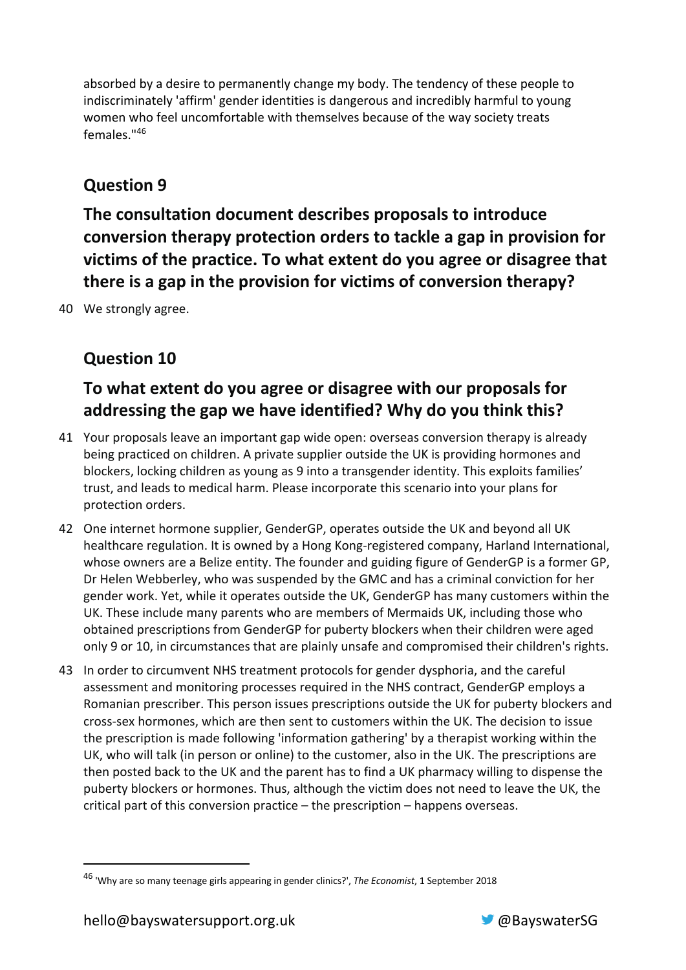absorbed by a desire to permanently change my body. The tendency of these people to indiscriminately 'affirm' gender identities is dangerous and incredibly harmful to young women who feel uncomfortable with themselves because of the way society treats females."46

### **Question 9**

**The consultation document describes proposals to introduce conversion therapy protection orders to tackle a gap in provision for victims of the practice. To what extent do you agree or disagree that there is a gap in the provision for victims of conversion therapy?**

40 We strongly agree.

## **Question 10**

## **To what extent do you agree or disagree with our proposals for addressing the gap we have identified? Why do you think this?**

- 41 Your proposals leave an important gap wide open: overseas conversion therapy is already being practiced on children. A private supplier outside the UK is providing hormones and blockers, locking children as young as 9 into a transgender identity. This exploits families' trust, and leads to medical harm. Please incorporate this scenario into your plans for protection orders.
- 42 One internet hormone supplier, GenderGP, operates outside the UK and beyond all UK healthcare regulation. It is owned by a Hong Kong-registered company, Harland International, whose owners are a Belize entity. The founder and guiding figure of GenderGP is a former GP, Dr Helen Webberley, who was suspended by the GMC and has a criminal conviction for her gender work. Yet, while it operates outside the UK, GenderGP has many customers within the UK. These include many parents who are members of Mermaids UK, including those who obtained prescriptions from GenderGP for puberty blockers when their children were aged only 9 or 10, in circumstances that are plainly unsafe and compromised their children's rights.
- 43 In order to circumvent NHS treatment protocols for gender dysphoria, and the careful assessment and monitoring processes required in the NHS contract, GenderGP employs a Romanian prescriber. This person issues prescriptions outside the UK for puberty blockers and cross-sex hormones, which are then sent to customers within the UK. The decision to issue the prescription is made following 'information gathering' by a therapist working within the UK, who will talk (in person or online) to the customer, also in the UK. The prescriptions are then posted back to the UK and the parent has to find a UK pharmacy willing to dispense the puberty blockers or hormones. Thus, although the victim does not need to leave the UK, the critical part of this conversion practice – the prescription – happens overseas.



<sup>46</sup> 'Why are so many teenage girls appearing in gender clinics?', *The Economist*, 1 September 2018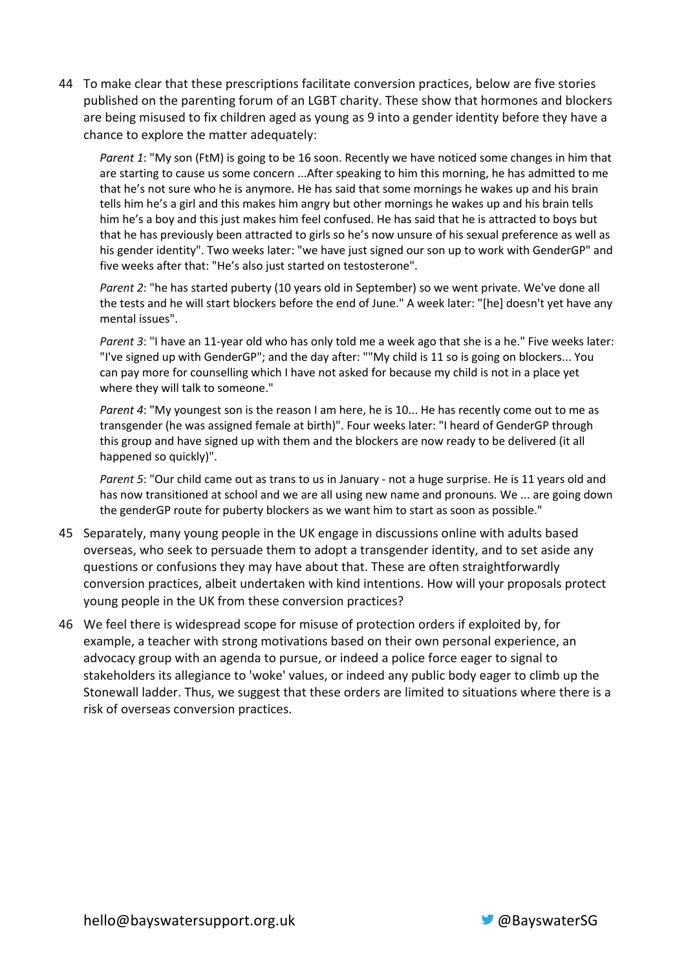44 To make clear that these prescriptions facilitate conversion practices, below are five stories published on the parenting forum of an LGBT charity. These show that hormones and blockers are being misused to fix children aged as young as 9 into a gender identity before they have a chance to explore the matter adequately:

*Parent 1*: "My son (FtM) is going to be 16 soon. Recently we have noticed some changes in him that are starting to cause us some concern ...After speaking to him this morning, he has admitted to me that he's not sure who he is anymore. He has said that some mornings he wakes up and his brain tells him he's a girl and this makes him angry but other mornings he wakes up and his brain tells him he's a boy and this just makes him feel confused. He has said that he is attracted to boys but that he has previously been attracted to girls so he's now unsure of his sexual preference as well as his gender identity". Two weeks later: "we have just signed our son up to work with GenderGP" and five weeks after that: "He's also just started on testosterone".

*Parent 2*: "he has started puberty (10 years old in September) so we went private. We've done all the tests and he will start blockers before the end of June." A week later: "[he] doesn't yet have any mental issues".

*Parent 3*: "I have an 11-year old who has only told me a week ago that she is a he." Five weeks later: "I've signed up with GenderGP"; and the day after: ""My child is 11 so is going on blockers... You can pay more for counselling which I have not asked for because my child is not in a place yet where they will talk to someone."

*Parent 4*: "My youngest son is the reason I am here, he is 10... He has recently come out to me as transgender (he was assigned female at birth)". Four weeks later: "I heard of GenderGP through this group and have signed up with them and the blockers are now ready to be delivered (it all happened so quickly)".

*Parent 5*: "Our child came out as trans to us in January - not a huge surprise. He is 11 years old and has now transitioned at school and we are all using new name and pronouns. We ... are going down the genderGP route for puberty blockers as we want him to start as soon as possible."

- 45 Separately, many young people in the UK engage in discussions online with adults based overseas, who seek to persuade them to adopt a transgender identity, and to set aside any questions or confusions they may have about that. These are often straightforwardly conversion practices, albeit undertaken with kind intentions. How will your proposals protect young people in the UK from these conversion practices?
- 46 We feel there is widespread scope for misuse of protection orders if exploited by, for example, a teacher with strong motivations based on their own personal experience, an advocacy group with an agenda to pursue, or indeed a police force eager to signal to stakeholders its allegiance to 'woke' values, or indeed any public body eager to climb up the Stonewall ladder. Thus, we suggest that these orders are limited to situations where there is a risk of overseas conversion practices.